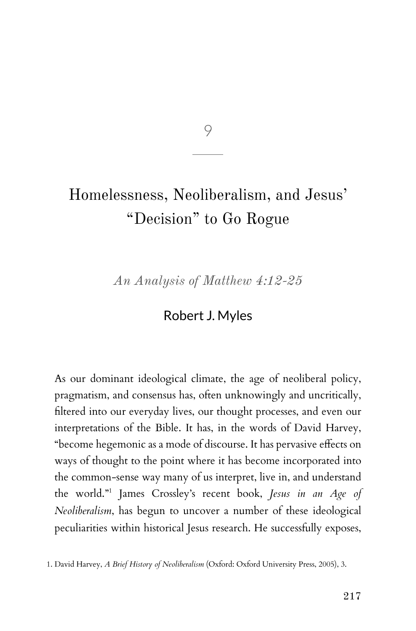9

# Homelessness, Neoliberalism, and Jesus' "Decision" to Go Rogue

*An Analysis of Matthew 4:12-25*

# Robert J. Myles

As our dominant ideological climate, the age of neoliberal policy, pragmatism, and consensus has, often unknowingly and uncritically, filtered into our everyday lives, our thought processes, and even our interpretations of the Bible. It has, in the words of David Harvey, "become hegemonic as a mode of discourse. It has pervasive effects on ways of thought to the point where it has become incorporated into the common-sense way many of us interpret, live in, and understand the world."<sup>1</sup> James Crossley's recent book, *Jesus in an Age of Neoliberalism*, has begun to uncover a number of these ideological peculiarities within historical Jesus research. He successfully exposes,

<sup>1.</sup> David Harvey, *A Brief History of Neoliberalism* (Oxford: Oxford University Press, 2005), 3.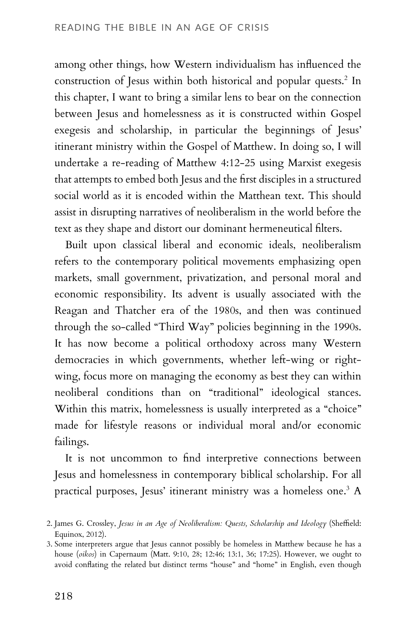among other things, how Western individualism has influenced the construction of Jesus within both historical and popular quests.<sup>2</sup> In this chapter, I want to bring a similar lens to bear on the connection between Jesus and homelessness as it is constructed within Gospel exegesis and scholarship, in particular the beginnings of Jesus' itinerant ministry within the Gospel of Matthew. In doing so, I will undertake a re-reading of Matthew 4:12-25 using Marxist exegesis that attempts to embed both Jesus and the first disciples in a structured social world as it is encoded within the Matthean text. This should assist in disrupting narratives of neoliberalism in the world before the text as they shape and distort our dominant hermeneutical filters.

Built upon classical liberal and economic ideals, neoliberalism refers to the contemporary political movements emphasizing open markets, small government, privatization, and personal moral and economic responsibility. Its advent is usually associated with the Reagan and Thatcher era of the 1980s, and then was continued through the so-called "Third Way" policies beginning in the 1990s. It has now become a political orthodoxy across many Western democracies in which governments, whether left-wing or rightwing, focus more on managing the economy as best they can within neoliberal conditions than on "traditional" ideological stances. Within this matrix, homelessness is usually interpreted as a "choice" made for lifestyle reasons or individual moral and/or economic failings.

It is not uncommon to find interpretive connections between Jesus and homelessness in contemporary biblical scholarship. For all practical purposes, Jesus' itinerant ministry was a homeless one.<sup>3</sup> A

<sup>2.</sup> James G. Crossley, *Jesus in an Age of Neoliberalism: Quests, Scholarship and Ideology* (Sheffield: Equinox, 2012).

<sup>3.</sup> Some interpreters argue that Jesus cannot possibly be homeless in Matthew because he has a house (*oikos*) in Capernaum (Matt. 9:10, 28; 12:46; 13:1, 36; 17:25). However, we ought to avoid conflating the related but distinct terms "house" and "home" in English, even though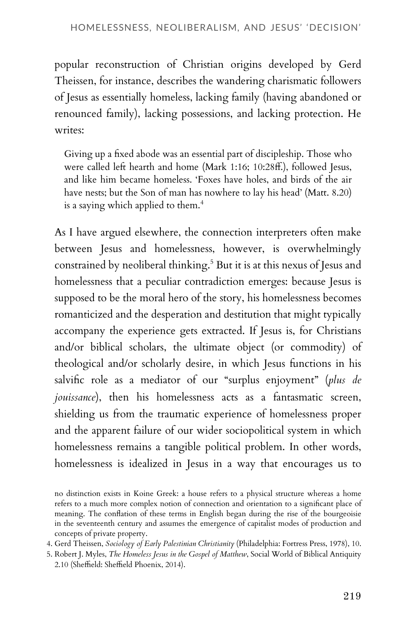popular reconstruction of Christian origins developed by Gerd Theissen, for instance, describes the wandering charismatic followers of Jesus as essentially homeless, lacking family (having abandoned or renounced family), lacking possessions, and lacking protection. He writes:

Giving up a fixed abode was an essential part of discipleship. Those who were called left hearth and home (Mark 1:16; 10:28ff.), followed Jesus, and like him became homeless. 'Foxes have holes, and birds of the air have nests; but the Son of man has nowhere to lay his head' (Matt. 8.20) is a saying which applied to them.<sup>4</sup>

As I have argued elsewhere, the connection interpreters often make between Jesus and homelessness, however, is overwhelmingly constrained by neoliberal thinking.<sup>5</sup> But it is at this nexus of Jesus and homelessness that a peculiar contradiction emerges: because Jesus is supposed to be the moral hero of the story, his homelessness becomes romanticized and the desperation and destitution that might typically accompany the experience gets extracted. If Jesus is, for Christians and/or biblical scholars, the ultimate object (or commodity) of theological and/or scholarly desire, in which Jesus functions in his salvific role as a mediator of our "surplus enjoyment" (*plus de jouissance*), then his homelessness acts as a fantasmatic screen, shielding us from the traumatic experience of homelessness proper and the apparent failure of our wider sociopolitical system in which homelessness remains a tangible political problem. In other words, homelessness is idealized in Jesus in a way that encourages us to

no distinction exists in Koine Greek: a house refers to a physical structure whereas a home refers to a much more complex notion of connection and orientation to a significant place of meaning. The conflation of these terms in English began during the rise of the bourgeoisie in the seventeenth century and assumes the emergence of capitalist modes of production and concepts of private property.

- 4. Gerd Theissen, *Sociology of Early Palestinian Christianity* (Philadelphia: Fortress Press, 1978), 10.
- 5. Robert J. Myles, *The Homeless Jesus in the Gospel of Matthew*, Social World of Biblical Antiquity 2.10 (Sheffield: Sheffield Phoenix, 2014).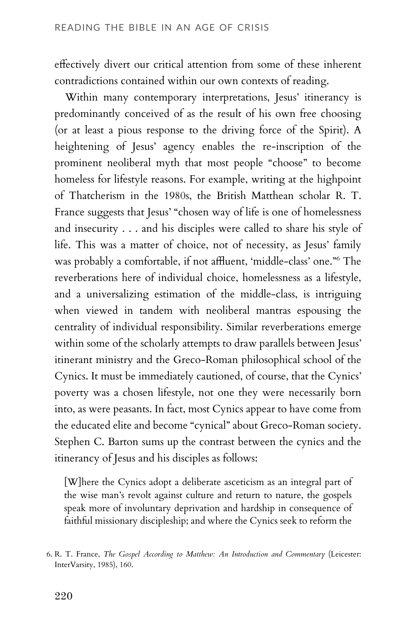effectively divert our critical attention from some of these inherent contradictions contained within our own contexts of reading.

Within many contemporary interpretations, Jesus' itinerancy is predominantly conceived of as the result of his own free choosing (or at least a pious response to the driving force of the Spirit). A heightening of Jesus' agency enables the re-inscription of the prominent neoliberal myth that most people "choose" to become homeless for lifestyle reasons. For example, writing at the highpoint of Thatcherism in the 1980s, the British Matthean scholar R. T. France suggests that Jesus' "chosen way of life is one of homelessness and insecurity . . . and his disciples were called to share his style of life. This was a matter of choice, not of necessity, as Jesus' family was probably a comfortable, if not affluent, 'middle-class' one."<sup>6</sup> The reverberations here of individual choice, homelessness as a lifestyle, and a universalizing estimation of the middle-class, is intriguing when viewed in tandem with neoliberal mantras espousing the centrality of individual responsibility. Similar reverberations emerge within some of the scholarly attempts to draw parallels between Jesus' itinerant ministry and the Greco-Roman philosophical school of the Cynics. It must be immediately cautioned, of course, that the Cynics' poverty was a chosen lifestyle, not one they were necessarily born into, as were peasants. In fact, most Cynics appear to have come from the educated elite and become "cynical" about Greco-Roman society. Stephen C. Barton sums up the contrast between the cynics and the itinerancy of Jesus and his disciples as follows:

[W]here the Cynics adopt a deliberate asceticism as an integral part of the wise man's revolt against culture and return to nature, the gospels speak more of involuntary deprivation and hardship in consequence of faithful missionary discipleship; and where the Cynics seek to reform the

<sup>6.</sup> R. T. France, *The Gospel According to Matthew: An Introduction and Commentary* (Leicester: InterVarsity, 1985), 160.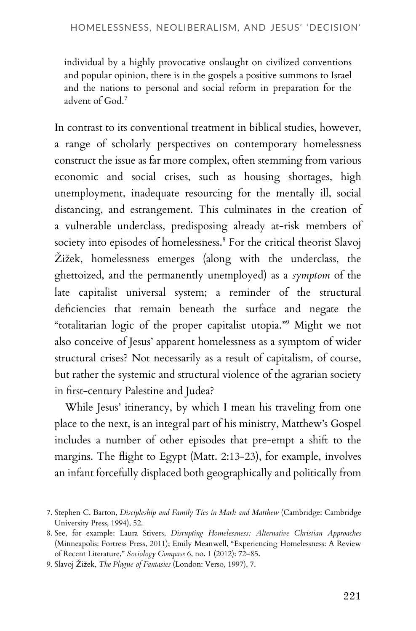individual by a highly provocative onslaught on civilized conventions and popular opinion, there is in the gospels a positive summons to Israel and the nations to personal and social reform in preparation for the advent of God.<sup>7</sup>

In contrast to its conventional treatment in biblical studies, however, a range of scholarly perspectives on contemporary homelessness construct the issue as far more complex, often stemming from various economic and social crises, such as housing shortages, high unemployment, inadequate resourcing for the mentally ill, social distancing, and estrangement. This culminates in the creation of a vulnerable underclass, predisposing already at-risk members of society into episodes of homelessness.<sup>8</sup> For the critical theorist Slavoj Žižek, homelessness emerges (along with the underclass, the ghettoized, and the permanently unemployed) as a *symptom* of the late capitalist universal system; a reminder of the structural deficiencies that remain beneath the surface and negate the "totalitarian logic of the proper capitalist utopia."<sup>9</sup> Might we not also conceive of Jesus' apparent homelessness as a symptom of wider structural crises? Not necessarily as a result of capitalism, of course, but rather the systemic and structural violence of the agrarian society in first-century Palestine and Judea?

While Jesus' itinerancy, by which I mean his traveling from one place to the next, is an integral part of his ministry, Matthew's Gospel includes a number of other episodes that pre-empt a shift to the margins. The flight to Egypt (Matt. 2:13-23), for example, involves an infant forcefully displaced both geographically and politically from

<sup>7.</sup> Stephen C. Barton, *Discipleship and Family Ties in Mark and Matthew* (Cambridge: Cambridge University Press, 1994), 52.

<sup>8.</sup> See, for example: Laura Stivers, *Disrupting Homelessness: Alternative Christian Approaches* (Minneapolis: Fortress Press, 2011); Emily Meanwell, "Experiencing Homelessness: A Review of Recent Literature," *Sociology Compass* 6, no. 1 (2012): 72–85.

<sup>9.</sup> Slavoj Žižek, *The Plague of Fantasies* (London: Verso, 1997), 7.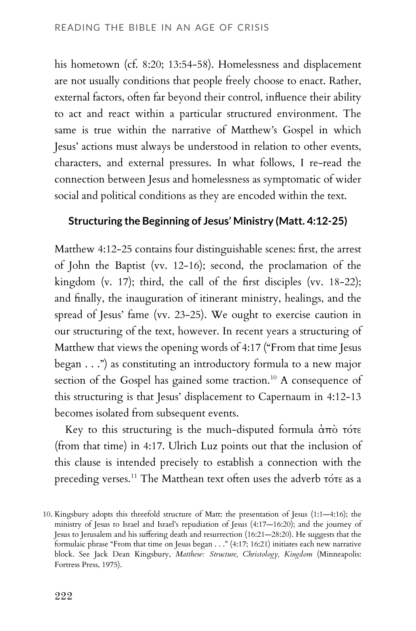his hometown (cf. 8:20; 13:54-58). Homelessness and displacement are not usually conditions that people freely choose to enact. Rather, external factors, often far beyond their control, influence their ability to act and react within a particular structured environment. The same is true within the narrative of Matthew's Gospel in which Jesus' actions must always be understood in relation to other events, characters, and external pressures. In what follows, I re-read the connection between Jesus and homelessness as symptomatic of wider social and political conditions as they are encoded within the text.

#### **Structuring the Beginning of Jesus' Ministry (Matt. 4:12-25)**

Matthew 4:12-25 contains four distinguishable scenes: first, the arrest of John the Baptist (vv. 12-16); second, the proclamation of the kingdom (v. 17); third, the call of the first disciples (vv. 18-22); and finally, the inauguration of itinerant ministry, healings, and the spread of Jesus' fame (vv. 23-25). We ought to exercise caution in our structuring of the text, however. In recent years a structuring of Matthew that views the opening words of 4:17 ("From that time Jesus began . . .") as constituting an introductory formula to a new major section of the Gospel has gained some traction.<sup>10</sup> A consequence of this structuring is that Jesus' displacement to Capernaum in 4:12-13 becomes isolated from subsequent events.

Key to this structuring is the much-disputed formula ἀπὸ τότε (from that time) in 4:17. Ulrich Luz points out that the inclusion of this clause is intended precisely to establish a connection with the preceding verses.<sup>11</sup> The Matthean text often uses the adverb τότε as a

<sup>10.</sup> Kingsbury adopts this threefold structure of Matt: the presentation of Jesus (1:1—4:16); the ministry of Jesus to Israel and Israel's repudiation of Jesus (4:17—16:20); and the journey of Jesus to Jerusalem and his suffering death and resurrection (16:21—28:20). He suggests that the formulaic phrase "From that time on Jesus began . . ." (4:17; 16:21) initiates each new narrative block. See Jack Dean Kingsbury, *Matthew: Structure, Christology, Kingdom* (Minneapolis: Fortress Press, 1975).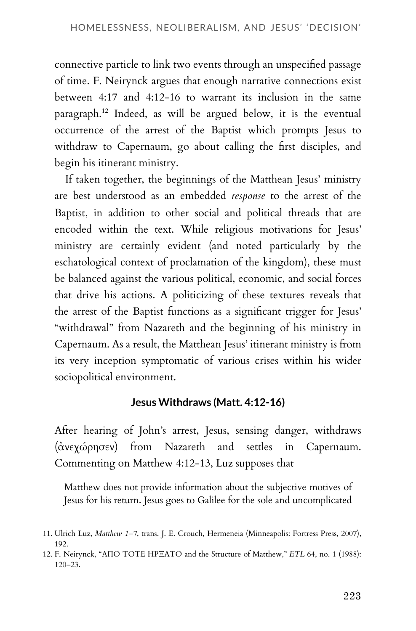connective particle to link two events through an unspecified passage of time. F. Neirynck argues that enough narrative connections exist between 4:17 and 4:12-16 to warrant its inclusion in the same paragraph.<sup>12</sup> Indeed, as will be argued below, it is the eventual occurrence of the arrest of the Baptist which prompts Jesus to withdraw to Capernaum, go about calling the first disciples, and begin his itinerant ministry.

If taken together, the beginnings of the Matthean Jesus' ministry are best understood as an embedded *response* to the arrest of the Baptist, in addition to other social and political threads that are encoded within the text. While religious motivations for Jesus' ministry are certainly evident (and noted particularly by the eschatological context of proclamation of the kingdom), these must be balanced against the various political, economic, and social forces that drive his actions. A politicizing of these textures reveals that the arrest of the Baptist functions as a significant trigger for Jesus' "withdrawal" from Nazareth and the beginning of his ministry in Capernaum. As a result, the Matthean Jesus' itinerant ministry is from its very inception symptomatic of various crises within his wider sociopolitical environment.

#### **Jesus Withdraws (Matt. 4:12-16)**

After hearing of John's arrest, Jesus, sensing danger, withdraws (ἀνεχώρησεν) from Nazareth and settles in Capernaum. Commenting on Matthew 4:12-13, Luz supposes that

Matthew does not provide information about the subjective motives of Jesus for his return. Jesus goes to Galilee for the sole and uncomplicated

<sup>11.</sup> Ulrich Luz, *Matthew 1–7*, trans. J. E. Crouch, Hermeneia (Minneapolis: Fortress Press, 2007), 192.

<sup>12.</sup> F. Neirynck, "ΑΠΟ ΤΟΤΕ ΗΡΞΑΤΟ and the Structure of Matthew," *ETL* 64, no. 1 (1988): 120–23.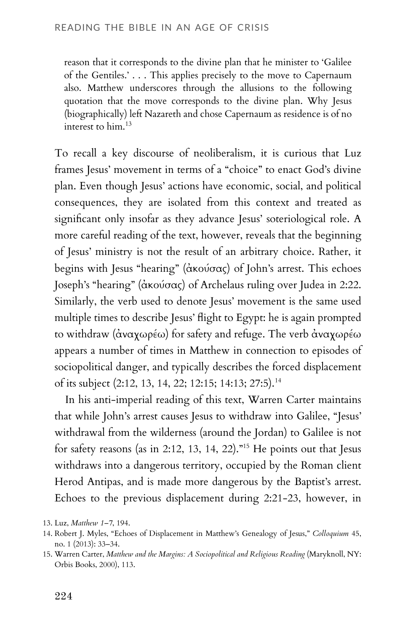reason that it corresponds to the divine plan that he minister to 'Galilee of the Gentiles.' . . . This applies precisely to the move to Capernaum also. Matthew underscores through the allusions to the following quotation that the move corresponds to the divine plan. Why Jesus (biographically) left Nazareth and chose Capernaum as residence is of no interest to him.<sup>13</sup>

To recall a key discourse of neoliberalism, it is curious that Luz frames Jesus' movement in terms of a "choice" to enact God's divine plan. Even though Jesus' actions have economic, social, and political consequences, they are isolated from this context and treated as significant only insofar as they advance Jesus' soteriological role. A more careful reading of the text, however, reveals that the beginning of Jesus' ministry is not the result of an arbitrary choice. Rather, it begins with Jesus "hearing" (ἀκούσας) of John's arrest. This echoes Joseph's "hearing" (ἀκούσας) of Archelaus ruling over Judea in 2:22. Similarly, the verb used to denote Jesus' movement is the same used multiple times to describe Jesus' flight to Egypt: he is again prompted to withdraw (ἀναχωρέω) for safety and refuge. The verb ἀναχωρέω appears a number of times in Matthew in connection to episodes of sociopolitical danger, and typically describes the forced displacement of its subject (2:12, 13, 14, 22; 12:15; 14:13; 27:5).<sup>14</sup>

In his anti-imperial reading of this text, Warren Carter maintains that while John's arrest causes Jesus to withdraw into Galilee, "Jesus' withdrawal from the wilderness (around the Jordan) to Galilee is not for safety reasons (as in 2:12, 13, 14, 22)."<sup>15</sup> He points out that Jesus withdraws into a dangerous territory, occupied by the Roman client Herod Antipas, and is made more dangerous by the Baptist's arrest. Echoes to the previous displacement during 2:21-23, however, in

<sup>13.</sup> Luz, *Matthew 1–7*, 194.

<sup>14.</sup> Robert J. Myles, "Echoes of Displacement in Matthew's Genealogy of Jesus," *Colloquium* 45, no. 1 (2013): 33–34.

<sup>15.</sup> Warren Carter, *Matthew and the Margins: A Sociopolitical and Religious Reading* (Maryknoll, NY: Orbis Books, 2000), 113.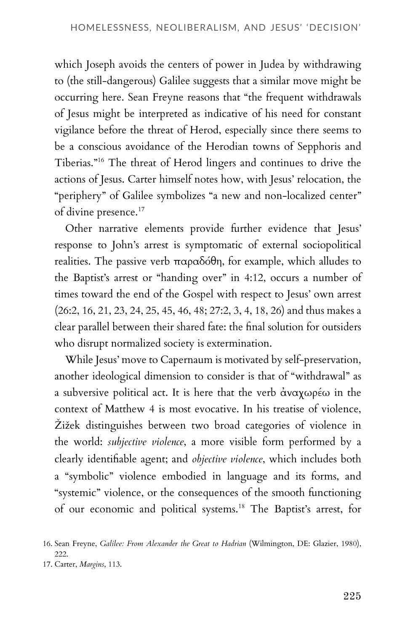which Joseph avoids the centers of power in Judea by withdrawing to (the still-dangerous) Galilee suggests that a similar move might be occurring here. Sean Freyne reasons that "the frequent withdrawals of Jesus might be interpreted as indicative of his need for constant vigilance before the threat of Herod, especially since there seems to be a conscious avoidance of the Herodian towns of Sepphoris and Tiberias."<sup>16</sup> The threat of Herod lingers and continues to drive the actions of Jesus. Carter himself notes how, with Jesus' relocation, the "periphery" of Galilee symbolizes "a new and non-localized center" of divine presence.<sup>17</sup>

Other narrative elements provide further evidence that Jesus' response to John's arrest is symptomatic of external sociopolitical realities. The passive verb παραδόθη, for example, which alludes to the Baptist's arrest or "handing over" in 4:12, occurs a number of times toward the end of the Gospel with respect to Jesus' own arrest (26:2, 16, 21, 23, 24, 25, 45, 46, 48; 27:2, 3, 4, 18, 26) and thus makes a clear parallel between their shared fate: the final solution for outsiders who disrupt normalized society is extermination.

While Jesus' move to Capernaum is motivated by self-preservation, another ideological dimension to consider is that of "withdrawal" as a subversive political act. It is here that the verb ἀναχωρέω in the context of Matthew 4 is most evocative. In his treatise of violence, Žižek distinguishes between two broad categories of violence in the world: *subjective violence*, a more visible form performed by a clearly identifiable agent; and *objective violence*, which includes both a "symbolic" violence embodied in language and its forms, and "systemic" violence, or the consequences of the smooth functioning of our economic and political systems.<sup>18</sup> The Baptist's arrest, for

<sup>16.</sup> Sean Freyne, *Galilee: From Alexander the Great to Hadrian* (Wilmington, DE: Glazier, 1980), 222.

<sup>17.</sup> Carter, *Margins*, 113.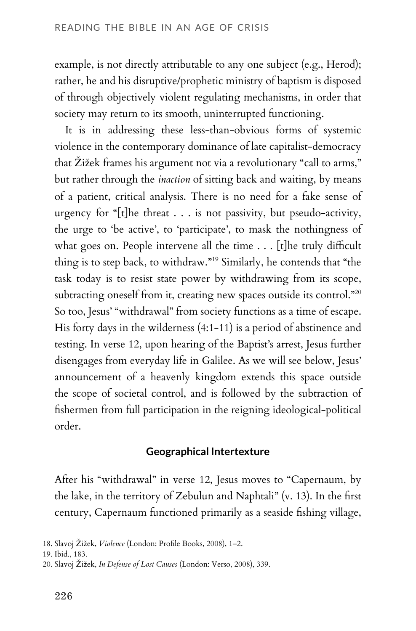example, is not directly attributable to any one subject (e.g., Herod); rather, he and his disruptive/prophetic ministry of baptism is disposed of through objectively violent regulating mechanisms, in order that society may return to its smooth, uninterrupted functioning.

It is in addressing these less-than-obvious forms of systemic violence in the contemporary dominance of late capitalist-democracy that Žižek frames his argument not via a revolutionary "call to arms," but rather through the *inaction* of sitting back and waiting, by means of a patient, critical analysis. There is no need for a fake sense of urgency for "[t]he threat . . . is not passivity, but pseudo-activity, the urge to 'be active', to 'participate', to mask the nothingness of what goes on. People intervene all the time  $\ldots$  [t]he truly difficult thing is to step back, to withdraw."<sup>19</sup> Similarly, he contends that "the task today is to resist state power by withdrawing from its scope, subtracting oneself from it, creating new spaces outside its control."<sup>20</sup> So too, Jesus' "withdrawal" from society functions as a time of escape. His forty days in the wilderness (4:1-11) is a period of abstinence and testing. In verse 12, upon hearing of the Baptist's arrest, Jesus further disengages from everyday life in Galilee. As we will see below, Jesus' announcement of a heavenly kingdom extends this space outside the scope of societal control, and is followed by the subtraction of fishermen from full participation in the reigning ideological-political order.

#### **Geographical Intertexture**

After his "withdrawal" in verse 12, Jesus moves to "Capernaum, by the lake, in the territory of Zebulun and Naphtali" (v. 13). In the first century, Capernaum functioned primarily as a seaside fishing village,

<sup>18.</sup> Slavoj Žižek, *Violence* (London: Profile Books, 2008), 1–2.

<sup>19.</sup> Ibid., 183.

<sup>20.</sup> Slavoj Žižek, *In Defense of Lost Causes* (London: Verso, 2008), 339.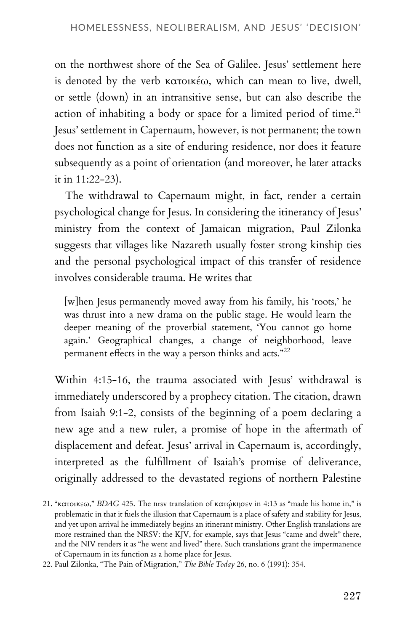on the northwest shore of the Sea of Galilee. Jesus' settlement here is denoted by the verb κατοικέω, which can mean to live, dwell, or settle (down) in an intransitive sense, but can also describe the action of inhabiting a body or space for a limited period of time.<sup>21</sup> Jesus' settlement in Capernaum, however, is not permanent; the town does not function as a site of enduring residence, nor does it feature subsequently as a point of orientation (and moreover, he later attacks it in 11:22-23).

The withdrawal to Capernaum might, in fact, render a certain psychological change for Jesus. In considering the itinerancy of Jesus' ministry from the context of Jamaican migration, Paul Zilonka suggests that villages like Nazareth usually foster strong kinship ties and the personal psychological impact of this transfer of residence involves considerable trauma. He writes that

[w]hen Jesus permanently moved away from his family, his 'roots,' he was thrust into a new drama on the public stage. He would learn the deeper meaning of the proverbial statement, 'You cannot go home again.' Geographical changes, a change of neighborhood, leave permanent effects in the way a person thinks and acts."<sup>22</sup>

Within 4:15-16, the trauma associated with Jesus' withdrawal is immediately underscored by a prophecy citation. The citation, drawn from Isaiah 9:1-2, consists of the beginning of a poem declaring a new age and a new ruler, a promise of hope in the aftermath of displacement and defeat. Jesus' arrival in Capernaum is, accordingly, interpreted as the fulfillment of Isaiah's promise of deliverance, originally addressed to the devastated regions of northern Palestine

<sup>21. &</sup>quot;κατοικεω," *BDAG* 425. The nrsv translation of κατῴκησεν in 4:13 as "made his home in," is problematic in that it fuels the illusion that Capernaum is a place of safety and stability for Jesus, and yet upon arrival he immediately begins an itinerant ministry. Other English translations are more restrained than the NRSV: the KJV, for example, says that Jesus "came and dwelt" there, and the NIV renders it as "he went and lived" there. Such translations grant the impermanence of Capernaum in its function as a home place for Jesus.

<sup>22.</sup> Paul Zilonka, "The Pain of Migration," *The Bible Today* 26, no. 6 (1991): 354.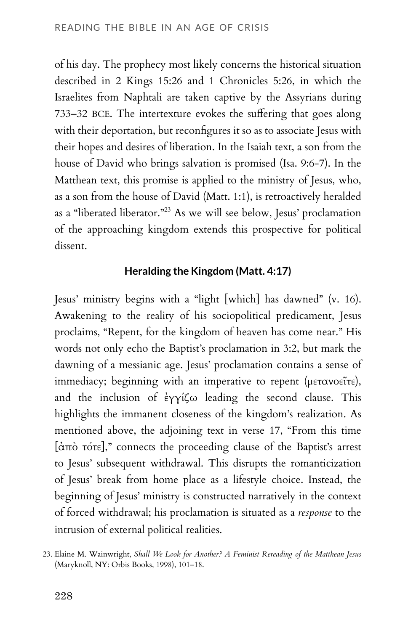of his day. The prophecy most likely concerns the historical situation described in 2 Kings 15:26 and 1 Chronicles 5:26, in which the Israelites from Naphtali are taken captive by the Assyrians during 733–32 BCE. The intertexture evokes the suffering that goes along with their deportation, but reconfigures it so as to associate Jesus with their hopes and desires of liberation. In the Isaiah text, a son from the house of David who brings salvation is promised (Isa. 9:6-7). In the Matthean text, this promise is applied to the ministry of Jesus, who, as a son from the house of David (Matt. 1:1), is retroactively heralded as a "liberated liberator."<sup>23</sup> As we will see below, Jesus' proclamation of the approaching kingdom extends this prospective for political dissent.

#### **Heralding the Kingdom (Matt. 4:17)**

Jesus' ministry begins with a "light [which] has dawned" (v. 16). Awakening to the reality of his sociopolitical predicament, Jesus proclaims, "Repent, for the kingdom of heaven has come near." His words not only echo the Baptist's proclamation in 3:2, but mark the dawning of a messianic age. Jesus' proclamation contains a sense of immediacy; beginning with an imperative to repent (μετανοεῖτε), and the inclusion of ἐγγίζω leading the second clause. This highlights the immanent closeness of the kingdom's realization. As mentioned above, the adjoining text in verse 17, "From this time [ἀπὸ τότε]," connects the proceeding clause of the Baptist's arrest to Jesus' subsequent withdrawal. This disrupts the romanticization of Jesus' break from home place as a lifestyle choice. Instead, the beginning of Jesus' ministry is constructed narratively in the context of forced withdrawal; his proclamation is situated as a *response* to the intrusion of external political realities.

<sup>23.</sup> Elaine M. Wainwright, *Shall We Look for Another? A Feminist Rereading of the Matthean Jesus* (Maryknoll, NY: Orbis Books, 1998), 101–18.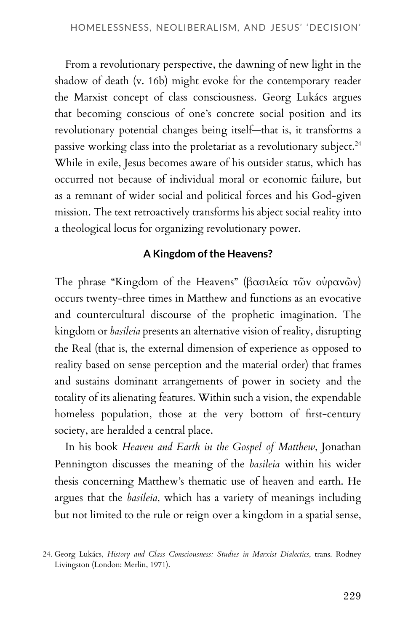From a revolutionary perspective, the dawning of new light in the shadow of death (v. 16b) might evoke for the contemporary reader the Marxist concept of class consciousness. Georg Lukács argues that becoming conscious of one's concrete social position and its revolutionary potential changes being itself—that is, it transforms a passive working class into the proletariat as a revolutionary subject.<sup>24</sup> While in exile, Jesus becomes aware of his outsider status, which has occurred not because of individual moral or economic failure, but as a remnant of wider social and political forces and his God-given mission. The text retroactively transforms his abject social reality into a theological locus for organizing revolutionary power.

#### **A Kingdom of the Heavens?**

The phrase "Kingdom of the Heavens" (βασιλεία τῶν οὐρανῶν) occurs twenty-three times in Matthew and functions as an evocative and countercultural discourse of the prophetic imagination. The kingdom or *basileia* presents an alternative vision of reality, disrupting the Real (that is, the external dimension of experience as opposed to reality based on sense perception and the material order) that frames and sustains dominant arrangements of power in society and the totality of its alienating features. Within such a vision, the expendable homeless population, those at the very bottom of first-century society, are heralded a central place.

In his book *Heaven and Earth in the Gospel of Matthew*, Jonathan Pennington discusses the meaning of the *basileia* within his wider thesis concerning Matthew's thematic use of heaven and earth. He argues that the *basileia*, which has a variety of meanings including but not limited to the rule or reign over a kingdom in a spatial sense,

<sup>24.</sup> Georg Lukács, *History and Class Consciousness: Studies in Marxist Dialectics*, trans. Rodney Livingston (London: Merlin, 1971).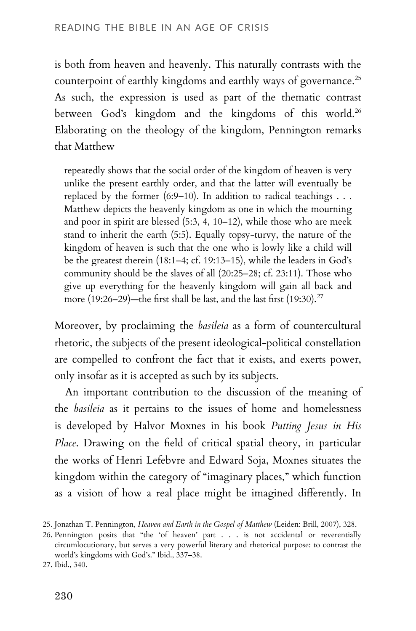is both from heaven and heavenly. This naturally contrasts with the counterpoint of earthly kingdoms and earthly ways of governance.<sup>25</sup> As such, the expression is used as part of the thematic contrast between God's kingdom and the kingdoms of this world.<sup>26</sup> Elaborating on the theology of the kingdom, Pennington remarks that Matthew

repeatedly shows that the social order of the kingdom of heaven is very unlike the present earthly order, and that the latter will eventually be replaced by the former (6:9–10). In addition to radical teachings  $\dots$ Matthew depicts the heavenly kingdom as one in which the mourning and poor in spirit are blessed (5:3, 4, 10–12), while those who are meek stand to inherit the earth (5:5). Equally topsy-turvy, the nature of the kingdom of heaven is such that the one who is lowly like a child will be the greatest therein (18:1–4; cf. 19:13–15), while the leaders in God's community should be the slaves of all (20:25–28; cf. 23:11). Those who give up everything for the heavenly kingdom will gain all back and more (19:26–29)—the first shall be last, and the last first (19:30).<sup>27</sup>

Moreover, by proclaiming the *basileia* as a form of countercultural rhetoric, the subjects of the present ideological-political constellation are compelled to confront the fact that it exists, and exerts power, only insofar as it is accepted as such by its subjects.

An important contribution to the discussion of the meaning of the *basileia* as it pertains to the issues of home and homelessness is developed by Halvor Moxnes in his book *Putting Jesus in His Place*. Drawing on the field of critical spatial theory, in particular the works of Henri Lefebvre and Edward Soja, Moxnes situates the kingdom within the category of "imaginary places," which function as a vision of how a real place might be imagined differently. In

<sup>25.</sup> Jonathan T. Pennington, *Heaven and Earth in the Gospel of Matthew* (Leiden: Brill, 2007), 328.

<sup>26.</sup> Pennington posits that "the 'of heaven' part . . . is not accidental or reverentially circumlocutionary, but serves a very powerful literary and rhetorical purpose: to contrast the world's kingdoms with God's." Ibid., 337–38.

<sup>27.</sup> Ibid., 340.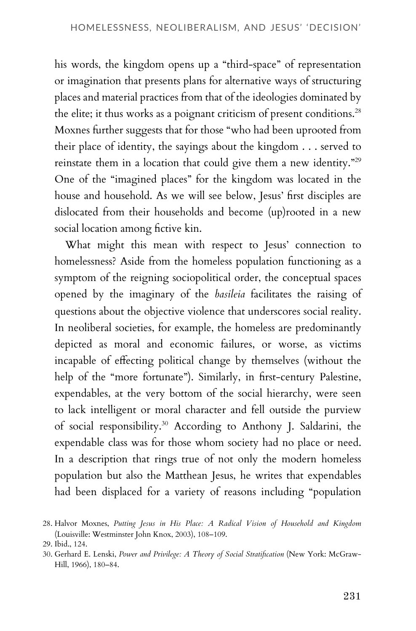his words, the kingdom opens up a "third-space" of representation or imagination that presents plans for alternative ways of structuring places and material practices from that of the ideologies dominated by the elite; it thus works as a poignant criticism of present conditions.<sup>28</sup> Moxnes further suggests that for those "who had been uprooted from their place of identity, the sayings about the kingdom . . . served to reinstate them in a location that could give them a new identity."<sup>29</sup> One of the "imagined places" for the kingdom was located in the house and household. As we will see below, Jesus' first disciples are dislocated from their households and become (up)rooted in a new social location among fictive kin.

What might this mean with respect to Jesus' connection to homelessness? Aside from the homeless population functioning as a symptom of the reigning sociopolitical order, the conceptual spaces opened by the imaginary of the *basileia* facilitates the raising of questions about the objective violence that underscores social reality. In neoliberal societies, for example, the homeless are predominantly depicted as moral and economic failures, or worse, as victims incapable of effecting political change by themselves (without the help of the "more fortunate"). Similarly, in first-century Palestine, expendables, at the very bottom of the social hierarchy, were seen to lack intelligent or moral character and fell outside the purview of social responsibility.<sup>30</sup> According to Anthony J. Saldarini, the expendable class was for those whom society had no place or need. In a description that rings true of not only the modern homeless population but also the Matthean Jesus, he writes that expendables had been displaced for a variety of reasons including "population

<sup>28.</sup> Halvor Moxnes, *Putting Jesus in His Place: A Radical Vision of Household and Kingdom* (Louisville: Westminster John Knox, 2003), 108–109.

<sup>29.</sup> Ibid., 124.

<sup>30.</sup> Gerhard E. Lenski, *Power and Privilege: A Theory of Social Stratification* (New York: McGraw-Hill, 1966), 180–84.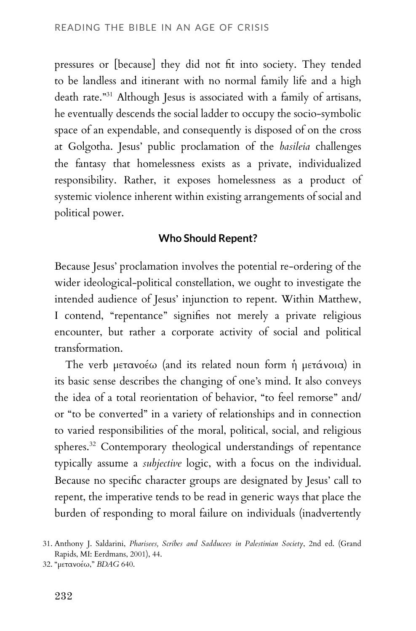pressures or [because] they did not fit into society. They tended to be landless and itinerant with no normal family life and a high death rate."<sup>31</sup> Although Jesus is associated with a family of artisans, he eventually descends the social ladder to occupy the socio-symbolic space of an expendable, and consequently is disposed of on the cross at Golgotha. Jesus' public proclamation of the *basileia* challenges the fantasy that homelessness exists as a private, individualized responsibility. Rather, it exposes homelessness as a product of systemic violence inherent within existing arrangements of social and political power.

#### **Who Should Repent?**

Because Jesus' proclamation involves the potential re-ordering of the wider ideological-political constellation, we ought to investigate the intended audience of Jesus' injunction to repent. Within Matthew, I contend, "repentance" signifies not merely a private religious encounter, but rather a corporate activity of social and political transformation.

The verb μετανοέω (and its related noun form ἡ μετάνοια) in its basic sense describes the changing of one's mind. It also conveys the idea of a total reorientation of behavior, "to feel remorse" and/ or "to be converted" in a variety of relationships and in connection to varied responsibilities of the moral, political, social, and religious spheres.<sup>32</sup> Contemporary theological understandings of repentance typically assume a *subjective* logic, with a focus on the individual. Because no specific character groups are designated by Jesus' call to repent, the imperative tends to be read in generic ways that place the burden of responding to moral failure on individuals (inadvertently

<sup>31.</sup> Anthony J. Saldarini, *Pharisees, Scribes and Sadducees in Palestinian Society*, 2nd ed. (Grand Rapids, MI: Eerdmans, 2001), 44.

<sup>32. &</sup>quot;μετανοέω," *BDAG* 640.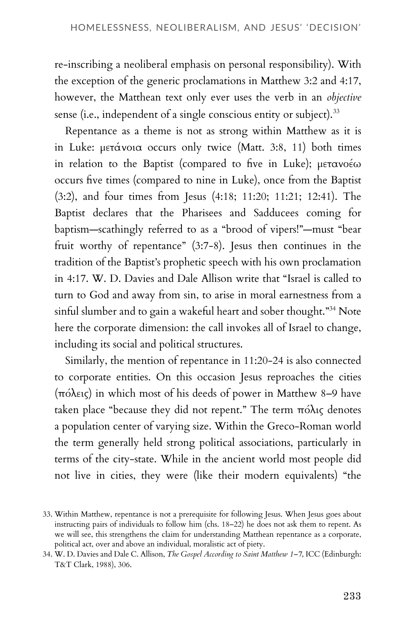re-inscribing a neoliberal emphasis on personal responsibility). With the exception of the generic proclamations in Matthew 3:2 and 4:17, however, the Matthean text only ever uses the verb in an *objective* sense (i.e., independent of a single conscious entity or subject).<sup>33</sup>

Repentance as a theme is not as strong within Matthew as it is in Luke: μετάνοια occurs only twice (Matt. 3:8, 11) both times in relation to the Baptist (compared to five in Luke); μετανοέω occurs five times (compared to nine in Luke), once from the Baptist (3:2), and four times from Jesus (4:18; 11:20; 11:21; 12:41). The Baptist declares that the Pharisees and Sadducees coming for baptism—scathingly referred to as a "brood of vipers!"—must "bear fruit worthy of repentance" (3:7-8). Jesus then continues in the tradition of the Baptist's prophetic speech with his own proclamation in 4:17. W. D. Davies and Dale Allison write that "Israel is called to turn to God and away from sin, to arise in moral earnestness from a sinful slumber and to gain a wakeful heart and sober thought."<sup>34</sup> Note here the corporate dimension: the call invokes all of Israel to change, including its social and political structures.

Similarly, the mention of repentance in 11:20-24 is also connected to corporate entities. On this occasion Jesus reproaches the cities (πόλεις) in which most of his deeds of power in Matthew 8–9 have taken place "because they did not repent." The term πόλις denotes a population center of varying size. Within the Greco-Roman world the term generally held strong political associations, particularly in terms of the city-state. While in the ancient world most people did not live in cities, they were (like their modern equivalents) "the

<sup>33.</sup> Within Matthew, repentance is not a prerequisite for following Jesus. When Jesus goes about instructing pairs of individuals to follow him (chs. 18–22) he does not ask them to repent. As we will see, this strengthens the claim for understanding Matthean repentance as a corporate, political act, over and above an individual, moralistic act of piety.

<sup>34.</sup> W. D. Davies and Dale C. Allison, *The Gospel According to Saint Matthew 1–7*, ICC (Edinburgh: T&T Clark, 1988), 306.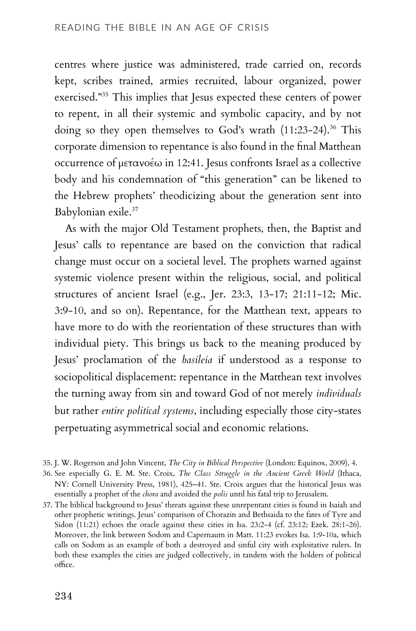centres where justice was administered, trade carried on, records kept, scribes trained, armies recruited, labour organized, power exercised."<sup>35</sup> This implies that Jesus expected these centers of power to repent, in all their systemic and symbolic capacity, and by not doing so they open themselves to God's wrath (11:23-24).<sup>36</sup> This corporate dimension to repentance is also found in the final Matthean occurrence of μετανοέω in 12:41. Jesus confronts Israel as a collective body and his condemnation of "this generation" can be likened to the Hebrew prophets' theodicizing about the generation sent into Babylonian exile.<sup>37</sup>

As with the major Old Testament prophets, then, the Baptist and Jesus' calls to repentance are based on the conviction that radical change must occur on a societal level. The prophets warned against systemic violence present within the religious, social, and political structures of ancient Israel (e.g., Jer. 23:3, 13-17; 21:11-12; Mic. 3:9-10, and so on). Repentance, for the Matthean text, appears to have more to do with the reorientation of these structures than with individual piety. This brings us back to the meaning produced by Jesus' proclamation of the *basileia* if understood as a response to sociopolitical displacement: repentance in the Matthean text involves the turning away from sin and toward God of not merely *individuals* but rather *entire political systems*, including especially those city-states perpetuating asymmetrical social and economic relations.

<sup>35.</sup> J. W. Rogerson and John Vincent, *The City in Biblical Perspective* (London: Equinox, 2009), 4.

<sup>36.</sup> See especially G. E. M. Ste. Croix, *The Class Struggle in the Ancient Greek World* (Ithaca, NY: Cornell University Press, 1981), 425–41. Ste. Croix argues that the historical Jesus was essentially a prophet of the *chora* and avoided the *polis* until his fatal trip to Jerusalem.

<sup>37.</sup> The biblical background to Jesus' threats against these unrepentant cities is found in Isaiah and other prophetic writings. Jesus' comparison of Chorazin and Bethsaida to the fates of Tyre and Sidon (11:21) echoes the oracle against these cities in Isa. 23:2-4 (cf. 23:12; Ezek. 28:1-26). Moreover, the link between Sodom and Capernaum in Matt. 11:23 evokes Isa. 1:9-10a, which calls on Sodom as an example of both a destroyed and sinful city with exploitative rulers. In both these examples the cities are judged collectively, in tandem with the holders of political office.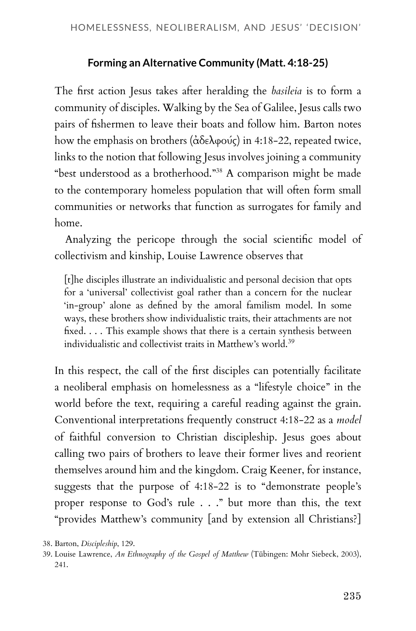### **Forming an Alternative Community (Matt. 4:18-25)**

The first action Jesus takes after heralding the *basileia* is to form a community of disciples. Walking by the Sea of Galilee, Jesus calls two pairs of fishermen to leave their boats and follow him. Barton notes how the emphasis on brothers (ἀδελφούς) in 4:18-22, repeated twice, links to the notion that following Jesus involves joining a community "best understood as a brotherhood."<sup>38</sup> A comparison might be made to the contemporary homeless population that will often form small communities or networks that function as surrogates for family and home.

Analyzing the pericope through the social scientific model of collectivism and kinship, Louise Lawrence observes that

[t]he disciples illustrate an individualistic and personal decision that opts for a 'universal' collectivist goal rather than a concern for the nuclear 'in-group' alone as defined by the amoral familism model. In some ways, these brothers show individualistic traits, their attachments are not fixed. . . . This example shows that there is a certain synthesis between individualistic and collectivist traits in Matthew's world.<sup>39</sup>

In this respect, the call of the first disciples can potentially facilitate a neoliberal emphasis on homelessness as a "lifestyle choice" in the world before the text, requiring a careful reading against the grain. Conventional interpretations frequently construct 4:18-22 as a *model* of faithful conversion to Christian discipleship. Jesus goes about calling two pairs of brothers to leave their former lives and reorient themselves around him and the kingdom. Craig Keener, for instance, suggests that the purpose of 4:18-22 is to "demonstrate people's proper response to God's rule . . ." but more than this, the text "provides Matthew's community [and by extension all Christians?]

38. Barton, *Discipleship*, 129.

<sup>39.</sup> Louise Lawrence, *An Ethnography of the Gospel of Matthew* (Tübingen: Mohr Siebeck, 2003), 241.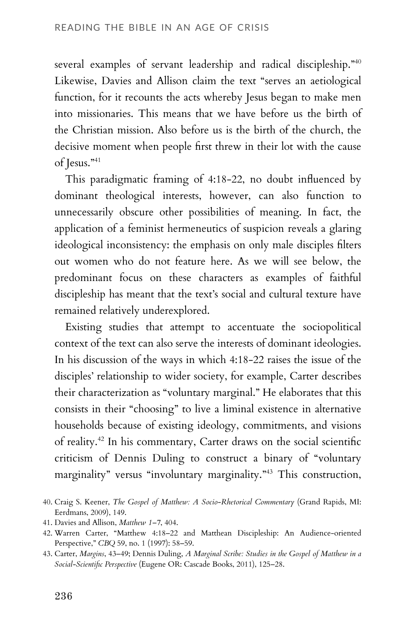several examples of servant leadership and radical discipleship."<sup>40</sup> Likewise, Davies and Allison claim the text "serves an aetiological function, for it recounts the acts whereby Jesus began to make men into missionaries. This means that we have before us the birth of the Christian mission. Also before us is the birth of the church, the decisive moment when people first threw in their lot with the cause of Jesus."<sup>41</sup>

This paradigmatic framing of 4:18-22, no doubt influenced by dominant theological interests, however, can also function to unnecessarily obscure other possibilities of meaning. In fact, the application of a feminist hermeneutics of suspicion reveals a glaring ideological inconsistency: the emphasis on only male disciples filters out women who do not feature here. As we will see below, the predominant focus on these characters as examples of faithful discipleship has meant that the text's social and cultural texture have remained relatively underexplored.

Existing studies that attempt to accentuate the sociopolitical context of the text can also serve the interests of dominant ideologies. In his discussion of the ways in which 4:18-22 raises the issue of the disciples' relationship to wider society, for example, Carter describes their characterization as "voluntary marginal." He elaborates that this consists in their "choosing" to live a liminal existence in alternative households because of existing ideology, commitments, and visions of reality.<sup>42</sup> In his commentary, Carter draws on the social scientific criticism of Dennis Duling to construct a binary of "voluntary marginality" versus "involuntary marginality."<sup>43</sup> This construction,

<sup>40.</sup> Craig S. Keener, *The Gospel of Matthew: A Socio-Rhetorical Commentary* (Grand Rapids, MI: Eerdmans, 2009), 149.

<sup>41.</sup> Davies and Allison, *Matthew 1–7*, 404.

<sup>42.</sup> Warren Carter, "Matthew 4:18–22 and Matthean Discipleship: An Audience-oriented Perspective," *CBQ* 59, no. 1 (1997): 58–59.

<sup>43.</sup> Carter, *Margins*, 43–49; Dennis Duling, *A Marginal Scribe: Studies in the Gospel of Matthew in a Social-Scientific Perspective* (Eugene OR: Cascade Books, 2011), 125–28.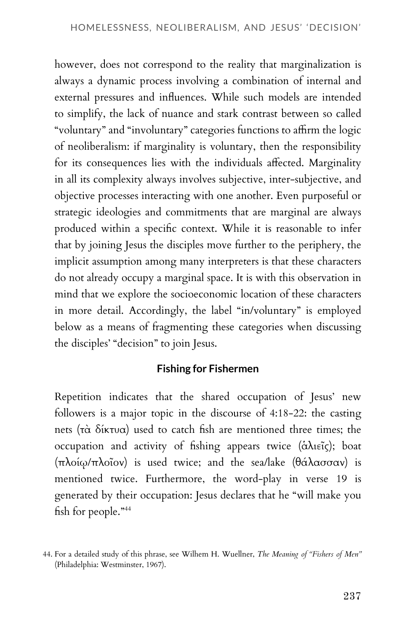however, does not correspond to the reality that marginalization is always a dynamic process involving a combination of internal and external pressures and influences. While such models are intended to simplify, the lack of nuance and stark contrast between so called "voluntary" and "involuntary" categories functions to affirm the logic of neoliberalism: if marginality is voluntary, then the responsibility for its consequences lies with the individuals affected. Marginality in all its complexity always involves subjective, inter-subjective, and objective processes interacting with one another. Even purposeful or strategic ideologies and commitments that are marginal are always produced within a specific context. While it is reasonable to infer that by joining Jesus the disciples move further to the periphery, the implicit assumption among many interpreters is that these characters do not already occupy a marginal space. It is with this observation in mind that we explore the socioeconomic location of these characters in more detail. Accordingly, the label "in/voluntary" is employed below as a means of fragmenting these categories when discussing the disciples' "decision" to join Jesus.

#### **Fishing for Fishermen**

Repetition indicates that the shared occupation of Jesus' new followers is a major topic in the discourse of 4:18-22: the casting nets (τὰ δίκτυα) used to catch fish are mentioned three times; the occupation and activity of fishing appears twice (ἁλιεῖς); boat (πλοίῳ/πλοῖον) is used twice; and the sea/lake (θάλασσαν) is mentioned twice. Furthermore, the word-play in verse 19 is generated by their occupation: Jesus declares that he "will make you fish for people."<sup>44</sup>

<sup>44.</sup> For a detailed study of this phrase, see Wilhem H. Wuellner, *The Meaning of "Fishers of Men"* (Philadelphia: Westminster, 1967).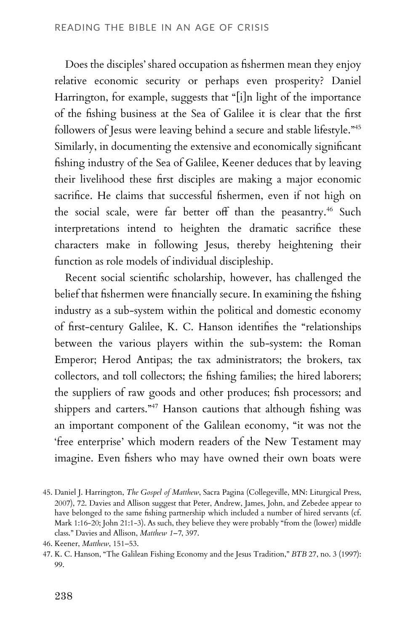Does the disciples' shared occupation as fishermen mean they enjoy relative economic security or perhaps even prosperity? Daniel Harrington, for example, suggests that "[i]n light of the importance of the fishing business at the Sea of Galilee it is clear that the first followers of Jesus were leaving behind a secure and stable lifestyle."<sup>45</sup> Similarly, in documenting the extensive and economically significant fishing industry of the Sea of Galilee, Keener deduces that by leaving their livelihood these first disciples are making a major economic sacrifice. He claims that successful fishermen, even if not high on the social scale, were far better off than the peasantry.<sup>46</sup> Such interpretations intend to heighten the dramatic sacrifice these characters make in following Jesus, thereby heightening their function as role models of individual discipleship.

Recent social scientific scholarship, however, has challenged the belief that fishermen were financially secure. In examining the fishing industry as a sub-system within the political and domestic economy of first-century Galilee, K. C. Hanson identifies the "relationships between the various players within the sub-system: the Roman Emperor; Herod Antipas; the tax administrators; the brokers, tax collectors, and toll collectors; the fishing families; the hired laborers; the suppliers of raw goods and other produces; fish processors; and shippers and carters."<sup>47</sup> Hanson cautions that although fishing was an important component of the Galilean economy, "it was not the 'free enterprise' which modern readers of the New Testament may imagine. Even fishers who may have owned their own boats were

<sup>45.</sup> Daniel J. Harrington, *The Gospel of Matthew*, Sacra Pagina (Collegeville, MN: Liturgical Press, 2007), 72. Davies and Allison suggest that Peter, Andrew, James, John, and Zebedee appear to have belonged to the same fishing partnership which included a number of hired servants (cf. Mark 1:16-20; John 21:1-3). As such, they believe they were probably "from the (lower) middle class." Davies and Allison, *Matthew 1–7*, 397.

<sup>46.</sup> Keener, *Matthew*, 151–53.

<sup>47.</sup> K. C. Hanson, "The Galilean Fishing Economy and the Jesus Tradition," *BTB* 27, no. 3 (1997): 99.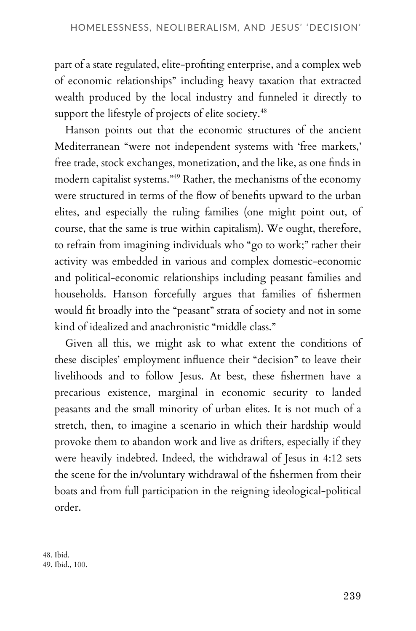part of a state regulated, elite-profiting enterprise, and a complex web of economic relationships" including heavy taxation that extracted wealth produced by the local industry and funneled it directly to support the lifestyle of projects of elite society.<sup>48</sup>

Hanson points out that the economic structures of the ancient Mediterranean "were not independent systems with 'free markets,' free trade, stock exchanges, monetization, and the like, as one finds in modern capitalist systems."<sup>49</sup> Rather, the mechanisms of the economy were structured in terms of the flow of benefits upward to the urban elites, and especially the ruling families (one might point out, of course, that the same is true within capitalism). We ought, therefore, to refrain from imagining individuals who "go to work;" rather their activity was embedded in various and complex domestic-economic and political-economic relationships including peasant families and households. Hanson forcefully argues that families of fishermen would fit broadly into the "peasant" strata of society and not in some kind of idealized and anachronistic "middle class."

Given all this, we might ask to what extent the conditions of these disciples' employment influence their "decision" to leave their livelihoods and to follow Jesus. At best, these fishermen have a precarious existence, marginal in economic security to landed peasants and the small minority of urban elites. It is not much of a stretch, then, to imagine a scenario in which their hardship would provoke them to abandon work and live as drifters, especially if they were heavily indebted. Indeed, the withdrawal of Jesus in 4:12 sets the scene for the in/voluntary withdrawal of the fishermen from their boats and from full participation in the reigning ideological-political order.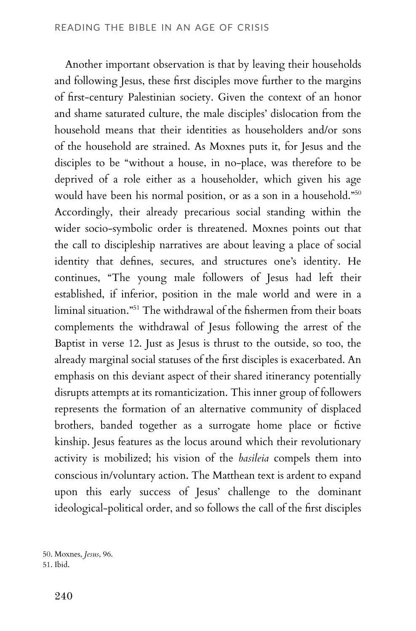Another important observation is that by leaving their households and following Jesus, these first disciples move further to the margins of first-century Palestinian society. Given the context of an honor and shame saturated culture, the male disciples' dislocation from the household means that their identities as householders and/or sons of the household are strained. As Moxnes puts it, for Jesus and the disciples to be "without a house, in no-place, was therefore to be deprived of a role either as a householder, which given his age would have been his normal position, or as a son in a household."<sup>50</sup> Accordingly, their already precarious social standing within the wider socio-symbolic order is threatened. Moxnes points out that the call to discipleship narratives are about leaving a place of social identity that defines, secures, and structures one's identity. He continues, "The young male followers of Jesus had left their established, if inferior, position in the male world and were in a liminal situation."<sup>51</sup> The withdrawal of the fishermen from their boats complements the withdrawal of Jesus following the arrest of the Baptist in verse 12. Just as Jesus is thrust to the outside, so too, the already marginal social statuses of the first disciples is exacerbated. An emphasis on this deviant aspect of their shared itinerancy potentially disrupts attempts at its romanticization. This inner group of followers represents the formation of an alternative community of displaced brothers, banded together as a surrogate home place or fictive kinship. Jesus features as the locus around which their revolutionary activity is mobilized; his vision of the *basileia* compels them into conscious in/voluntary action. The Matthean text is ardent to expand upon this early success of Jesus' challenge to the dominant ideological-political order, and so follows the call of the first disciples

50. Moxnes, *Jesus*, 96. 51. Ibid.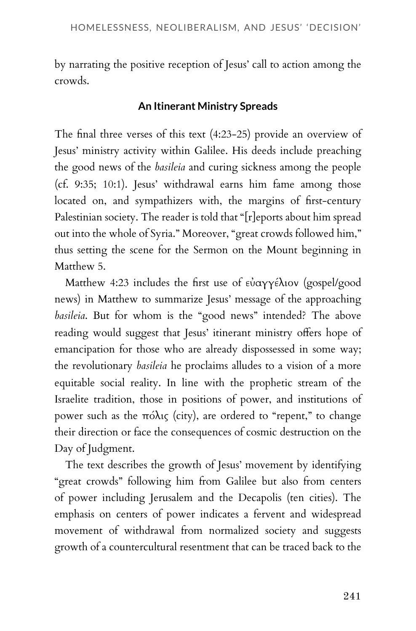by narrating the positive reception of Jesus' call to action among the crowds.

## **An Itinerant Ministry Spreads**

The final three verses of this text (4:23-25) provide an overview of Jesus' ministry activity within Galilee. His deeds include preaching the good news of the *basileia* and curing sickness among the people (cf. 9:35; 10:1). Jesus' withdrawal earns him fame among those located on, and sympathizers with, the margins of first-century Palestinian society. The reader is told that "[r]eports about him spread out into the whole of Syria." Moreover, "great crowds followed him," thus setting the scene for the Sermon on the Mount beginning in Matthew 5.

Matthew 4:23 includes the first use of εὐαγγέλιον (gospel/good news) in Matthew to summarize Jesus' message of the approaching *basileia*. But for whom is the "good news" intended? The above reading would suggest that Jesus' itinerant ministry offers hope of emancipation for those who are already dispossessed in some way; the revolutionary *basileia* he proclaims alludes to a vision of a more equitable social reality. In line with the prophetic stream of the Israelite tradition, those in positions of power, and institutions of power such as the πόλις (city), are ordered to "repent," to change their direction or face the consequences of cosmic destruction on the Day of Judgment.

The text describes the growth of Jesus' movement by identifying "great crowds" following him from Galilee but also from centers of power including Jerusalem and the Decapolis (ten cities). The emphasis on centers of power indicates a fervent and widespread movement of withdrawal from normalized society and suggests growth of a countercultural resentment that can be traced back to the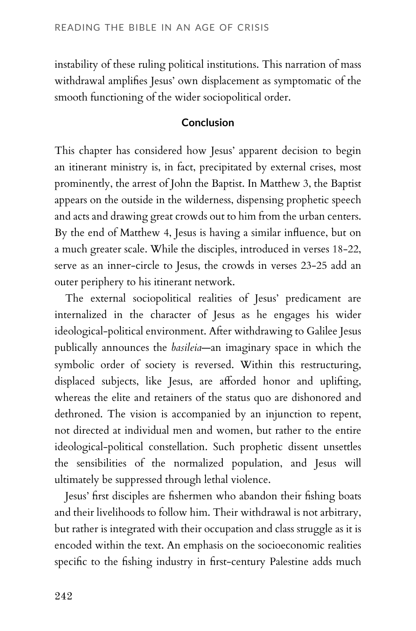instability of these ruling political institutions. This narration of mass withdrawal amplifies Jesus' own displacement as symptomatic of the smooth functioning of the wider sociopolitical order.

#### **Conclusion**

This chapter has considered how Jesus' apparent decision to begin an itinerant ministry is, in fact, precipitated by external crises, most prominently, the arrest of John the Baptist. In Matthew 3, the Baptist appears on the outside in the wilderness, dispensing prophetic speech and acts and drawing great crowds out to him from the urban centers. By the end of Matthew 4, Jesus is having a similar influence, but on a much greater scale. While the disciples, introduced in verses 18-22, serve as an inner-circle to Jesus, the crowds in verses 23-25 add an outer periphery to his itinerant network.

The external sociopolitical realities of Jesus' predicament are internalized in the character of Jesus as he engages his wider ideological-political environment. After withdrawing to Galilee Jesus publically announces the *basileia*—an imaginary space in which the symbolic order of society is reversed. Within this restructuring, displaced subjects, like Jesus, are afforded honor and uplifting, whereas the elite and retainers of the status quo are dishonored and dethroned. The vision is accompanied by an injunction to repent, not directed at individual men and women, but rather to the entire ideological-political constellation. Such prophetic dissent unsettles the sensibilities of the normalized population, and Jesus will ultimately be suppressed through lethal violence.

Jesus' first disciples are fishermen who abandon their fishing boats and their livelihoods to follow him. Their withdrawal is not arbitrary, but rather is integrated with their occupation and class struggle as it is encoded within the text. An emphasis on the socioeconomic realities specific to the fishing industry in first-century Palestine adds much